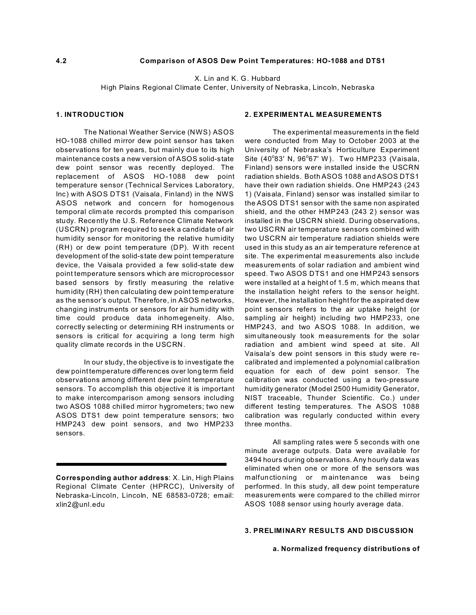# **4.2 Comparison of ASOS Dew Point Temperatures: HO-1088 and DTS1**

X. Lin and K. G. Hubbard

High Plains Regional Climate Center, University of Nebraska, Lincoln, Nebraska

# **1. INTRODUCTION**

The National Weather Service (NWS) ASOS HO-1088 chilled m irror dew point sensor has taken observations for ten years, but mainly due to its high maintenance costs a new version of ASOS solid-state dew point sensor was recently deployed. The replacement of ASOS HO-1088 dew point temperature sensor (Technical Services Laboratory, Inc) with ASOS DTS1 (Vaisala, Finland) in the NWS ASOS network and concern for homogenous temporal clim ate records prompted this comparison study. Recently the U.S. Reference Climate Network (USCRN) program required to seek a candidate of air hum idity sensor for m onitoring the relative humidity (RH) or dew point temperature (DP). W ith recent development of the solid-state dew point temperature device, the Vaisala provided a few solid-state dew point temperature sensors which are microprocessor based sensors by firstly measuring the relative hum idity (RH) then calculating dew point temperature as the sensor's output. Therefore, in ASOS networks, changing instruments or sensors for air hum idity with time could produce data inhomegeneity. Also, correctly selecting or determining RH instruments or sensors is critical for acquiring a long term high quality climate records in the USCRN.

In our study, the objective is to investigate the dew point temperature differences over long term field observations among different dew point temperature sensors. To accomplish this objective it is important to make intercomparison among sensors including two ASOS 1088 chilled mirror hygrometers; two new ASOS DTS1 dew point temperature sensors; two HMP243 dew point sensors, and two HMP233 sensors.

# **2. EXPERIMENTAL MEASUREMENTS**

The experimental measurements in the field were conducted from May to October 2003 at the University of Nebraska's Horticulture Experiment Site (40°83' N, 96°67' W). Two HMP233 (Vaisala, Finland) sensors were installed inside the USCRN radiation shields. Both ASOS 1088 and ASOS DTS1 have their own radiation shields. One HMP243 (243 1) (Vaisala, Finland) sensor was installed similar to the ASOS DTS1 sensor with the same non aspirated shield, and the other HMP243 (243 2) sensor was installed in the USCRN shield. During observations, two USCRN air temperature sensors combined with two USCRN air temperature radiation shields were used in this study as an air temperature reference at site. The experimental measurements also include measurem ents of solar radiation and ambient wind speed. Two ASOS DTS1 and one HMP243 sensors were installed at a height of 1.5 m, which means that the installation height refers to the sensor height. However, the installation height for the aspirated dew point sensors refers to the air uptake height (or sampling air height) including two HMP233, one HMP243, and two ASOS 1088. In addition, we sim ultaneously took measurements for the solar radiation and ambient wind speed at site. All Vaisala's dew point sensors in this study were recalibrated and implemented a polynomial calibration equation for each of dew point sensor. The calibration was conducted using a two-pressure hum idity generator (Model 2500 Humidity Generator, NIST traceable, Thunder Scientific. Co.) under different testing temperatures. The ASOS 1088 calibration was regularly conducted within every three months.

All sampling rates were 5 seconds with one minute average outputs. Data were available for 3494 hours during observations. Any hourly data was eliminated when one or more of the sensors was m alfunctioning or m aintenance was being performed. In this study, all dew point temperature measurem ents were compared to the chilled mirror ASOS 1088 sensor using hourly average data.

### **3. PRELIMINARY RESULTS AND DISCUSSION**

#### **a. Normalized frequency distributions of**

**Corresponding author address**: X. Lin, High Plains Regional Climate Center (HPRCC), University of Nebraska-Lincoln, Lincoln, NE 68583-0728; email: xlin2@unl.edu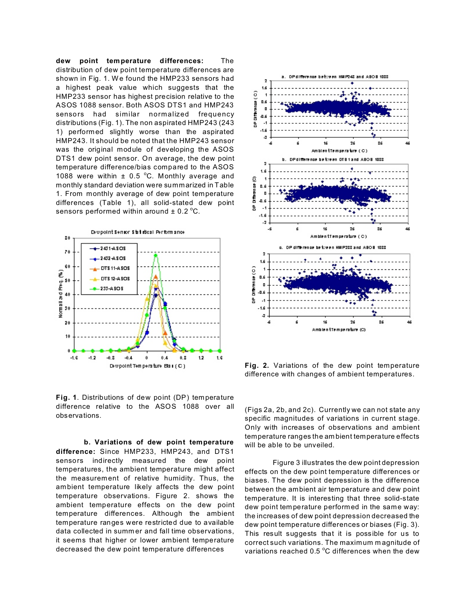**dew point temperature differences:** The distribution of dew point temperature differences are shown in Fig. 1. We found the HMP233 sensors had a highest peak value which suggests that the HMP233 sensor has highest precision relative to the ASOS 1088 sensor. Both ASOS DTS1 and HMP243 sensors had similar normalized frequency distributions (Fig. 1). The non aspirated HMP243 (243 1) performed slightly worse than the aspirated HMP243. It should be noted that the HMP243 sensor was the original module of developing the ASOS DTS1 dew point sensor. On average, the dew point temperature difference/bias compared to the ASOS 1088 were within  $\pm$  0.5 °C. Monthly average and monthly standard deviation were summarized in Table 1. From monthly average of dew point temperature differences (Table 1), all solid-stated dew point sensors performed within around  $\pm$  0.2 °C.



**Fig. 1**. Distributions of dew point (DP) temperature difference relative to the ASOS 1088 over all observations.

**b. Variations of dew point temperature difference:** Since HMP233, HMP243, and DTS1 sensors indirectly measured the dew point temperatures, the ambient temperature might affect the measurement of relative humidity. Thus, the ambient temperature likely affects the dew point temperature observations. Figure 2. shows the ambient temperature effects on the dew point temperature differences. Although the ambient temperature ranges were restricted due to available data collected in summ er and fall time observations, it seems that higher or lower ambient temperature decreased the dew point temperature differences



**Fig. 2.** Variations of the dew point temperature difference with changes of ambient temperatures.

(Figs 2a, 2b, and 2c). Currently we can not state any specific magnitudes of variations in current stage. Only with increases of observations and ambient temperature ranges the am bient temperature effects will be able to be unveiled.

Figure 3 illustrates the dew point depression effects on the dew point temperature differences or biases. The dew point depression is the difference between the ambient air temperature and dew point temperature. It is interesting that three solid-state dew point tem perature performed in the same way: the increases of dew point depression decreased the dew point temperature differences or biases (Fig. 3). This result suggests that it is possible for us to correct such variations. The maximum m agnitude of variations reached 0.5  $^{\circ}$ C differences when the dew